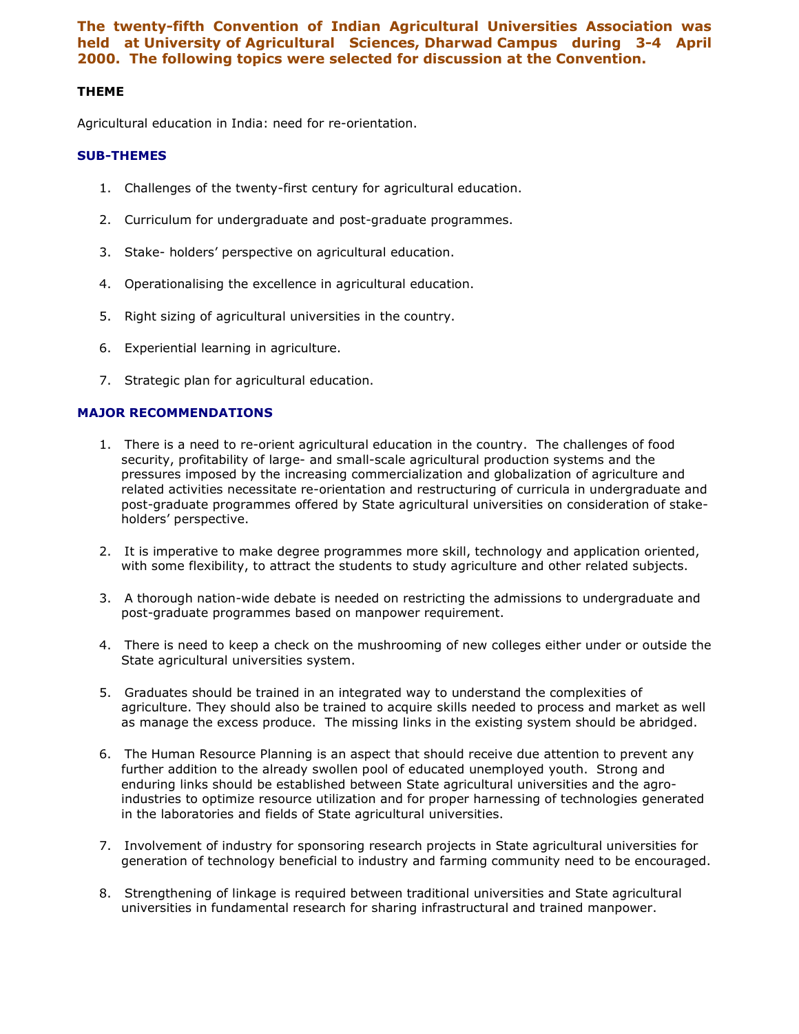The twenty-fifth Convention of Indian Agricultural Universities Association was held at University of Agricultural Sciences, Dharwad Campus during 3-4 April 2000. The following topics were selected for discussion at the Convention.

## THEME

Agricultural education in India: need for re-orientation.

## SUB-THEMES

- 1. Challenges of the twenty-first century for agricultural education.
- 2. Curriculum for undergraduate and post-graduate programmes.
- 3. Stake- holders' perspective on agricultural education.
- 4. Operationalising the excellence in agricultural education.
- 5. Right sizing of agricultural universities in the country.
- 6. Experiential learning in agriculture.
- 7. Strategic plan for agricultural education.

## MAJOR RECOMMENDATIONS

- 1. There is a need to re-orient agricultural education in the country. The challenges of food security, profitability of large- and small-scale agricultural production systems and the pressures imposed by the increasing commercialization and globalization of agriculture and related activities necessitate re-orientation and restructuring of curricula in undergraduate and post-graduate programmes offered by State agricultural universities on consideration of stakeholders' perspective.
- 2. It is imperative to make degree programmes more skill, technology and application oriented, with some flexibility, to attract the students to study agriculture and other related subjects.
- 3. A thorough nation-wide debate is needed on restricting the admissions to undergraduate and post-graduate programmes based on manpower requirement.
- 4. There is need to keep a check on the mushrooming of new colleges either under or outside the State agricultural universities system.
- 5. Graduates should be trained in an integrated way to understand the complexities of agriculture. They should also be trained to acquire skills needed to process and market as well as manage the excess produce. The missing links in the existing system should be abridged.
- 6. The Human Resource Planning is an aspect that should receive due attention to prevent any further addition to the already swollen pool of educated unemployed youth. Strong and enduring links should be established between State agricultural universities and the agroindustries to optimize resource utilization and for proper harnessing of technologies generated in the laboratories and fields of State agricultural universities.
- 7. Involvement of industry for sponsoring research projects in State agricultural universities for generation of technology beneficial to industry and farming community need to be encouraged.
- 8. Strengthening of linkage is required between traditional universities and State agricultural universities in fundamental research for sharing infrastructural and trained manpower.